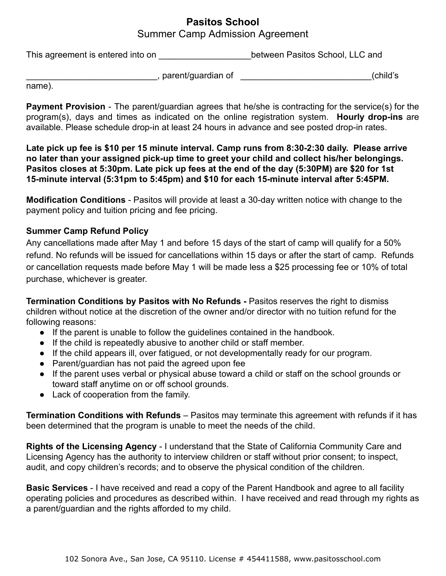## **Pasitos School** Summer Camp Admission Agreement

This agreement is entered into on **Example 20** between Pasitos School, LLC and

\_\_\_\_\_\_\_\_\_\_\_\_\_\_\_\_\_\_\_\_\_\_\_\_\_\_\_, parent/guardian of \_\_\_\_\_\_\_\_\_\_\_\_\_\_\_\_\_\_\_\_\_\_\_\_\_\_\_(child's

name).

**Payment Provision** - The parent/guardian agrees that he/she is contracting for the service(s) for the program(s), days and times as indicated on the online registration system. **Hourly drop-ins** are available. Please schedule drop-in at least 24 hours in advance and see posted drop-in rates.

**Late pick up fee is \$10 per 15 minute interval. Camp runs from 8:30-2:30 daily. Please arrive no later than your assigned pick-up time to greet your child and collect his/her belongings. Pasitos closes at 5:30pm. Late pick up fees at the end of the day (5:30PM) are \$20 for 1st 15-minute interval (5:31pm to 5:45pm) and \$10 for each 15-minute interval after 5:45PM.**

**Modification Conditions** - Pasitos will provide at least a 30-day written notice with change to the payment policy and tuition pricing and fee pricing.

## **Summer Camp Refund Policy**

Any cancellations made after May 1 and before 15 days of the start of camp will qualify for a 50% refund. No refunds will be issued for cancellations within 15 days or after the start of camp. Refunds or cancellation requests made before May 1 will be made less a \$25 processing fee or 10% of total purchase, whichever is greater.

**Termination Conditions by Pasitos with No Refunds -** Pasitos reserves the right to dismiss children without notice at the discretion of the owner and/or director with no tuition refund for the following reasons:

- If the parent is unable to follow the guidelines contained in the handbook.
- If the child is repeatedly abusive to another child or staff member.
- If the child appears ill, over fatigued, or not developmentally ready for our program.
- Parent/guardian has not paid the agreed upon fee
- If the parent uses verbal or physical abuse toward a child or staff on the school grounds or toward staff anytime on or off school grounds.
- Lack of cooperation from the family.

**Termination Conditions with Refunds** – Pasitos may terminate this agreement with refunds if it has been determined that the program is unable to meet the needs of the child.

**Rights of the Licensing Agency** - I understand that the State of California Community Care and Licensing Agency has the authority to interview children or staff without prior consent; to inspect, audit, and copy children's records; and to observe the physical condition of the children.

**Basic Services** - I have received and read a copy of the Parent Handbook and agree to all facility operating policies and procedures as described within. I have received and read through my rights as a parent/guardian and the rights afforded to my child.